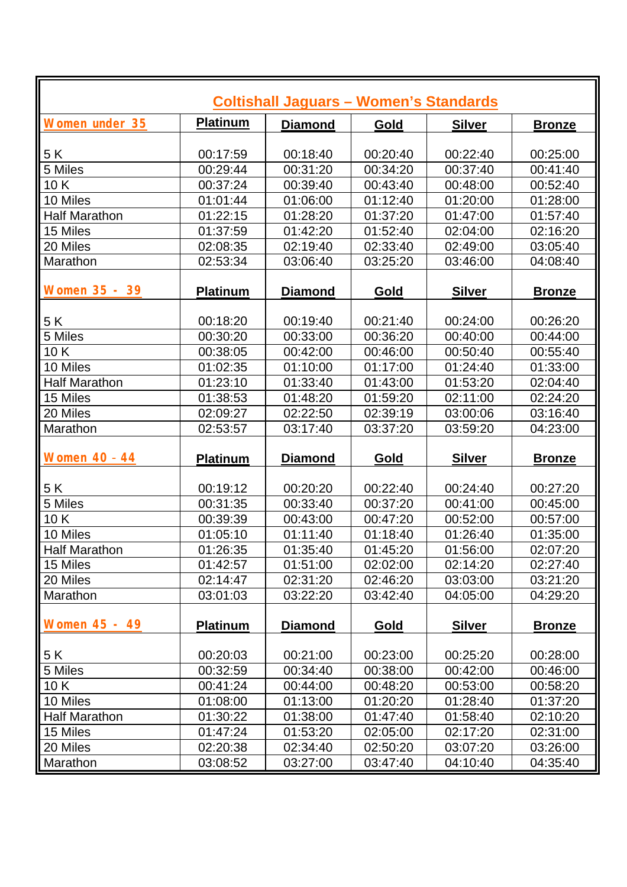| <b>Coltishall Jaguars - Women's Standards</b> |                 |                |          |               |               |  |  |  |
|-----------------------------------------------|-----------------|----------------|----------|---------------|---------------|--|--|--|
| <b>Women under 35</b>                         | <b>Platinum</b> | <b>Diamond</b> | Gold     | <b>Silver</b> | <b>Bronze</b> |  |  |  |
|                                               |                 |                |          |               |               |  |  |  |
| 5K                                            | 00:17:59        | 00:18:40       | 00:20:40 | 00:22:40      | 00:25:00      |  |  |  |
| 5 Miles                                       | 00:29:44        | 00:31:20       | 00:34:20 | 00:37:40      | 00:41:40      |  |  |  |
| 10K                                           | 00:37:24        | 00:39:40       | 00:43:40 | 00:48:00      | 00:52:40      |  |  |  |
| 10 Miles                                      | 01:01:44        | 01:06:00       | 01:12:40 | 01:20:00      | 01:28:00      |  |  |  |
| <b>Half Marathon</b>                          | 01:22:15        | 01:28:20       | 01:37:20 | 01:47:00      | 01:57:40      |  |  |  |
| 15 Miles                                      | 01:37:59        | 01:42:20       | 01:52:40 | 02:04:00      | 02:16:20      |  |  |  |
| 20 Miles                                      | 02:08:35        | 02:19:40       | 02:33:40 | 02:49:00      | 03:05:40      |  |  |  |
| Marathon                                      | 02:53:34        | 03:06:40       | 03:25:20 | 03:46:00      | 04:08:40      |  |  |  |
| Women 35 - 39                                 | <b>Platinum</b> | <b>Diamond</b> | Gold     | <b>Silver</b> | <b>Bronze</b> |  |  |  |
| 5 K                                           | 00:18:20        | 00:19:40       | 00:21:40 | 00:24:00      | 00:26:20      |  |  |  |
| 5 Miles                                       | 00:30:20        | 00:33:00       | 00:36:20 | 00:40:00      | 00:44:00      |  |  |  |
| 10K                                           | 00:38:05        | 00:42:00       | 00:46:00 | 00:50:40      | 00:55:40      |  |  |  |
| 10 Miles                                      | 01:02:35        | 01:10:00       | 01:17:00 | 01:24:40      | 01:33:00      |  |  |  |
| <b>Half Marathon</b>                          | 01:23:10        | 01:33:40       | 01:43:00 | 01:53:20      | 02:04:40      |  |  |  |
| 15 Miles                                      | 01:38:53        | 01:48:20       | 01:59:20 | 02:11:00      | 02:24:20      |  |  |  |
| 20 Miles                                      | 02:09:27        | 02:22:50       | 02:39:19 | 03:00:06      | 03:16:40      |  |  |  |
| Marathon                                      | 02:53:57        | 03:17:40       | 03:37:20 | 03:59:20      | 04:23:00      |  |  |  |
|                                               |                 |                |          |               |               |  |  |  |
| <b>Women 40 - 44</b>                          | <b>Platinum</b> | <b>Diamond</b> | Gold     | <b>Silver</b> | <b>Bronze</b> |  |  |  |
|                                               |                 |                |          |               |               |  |  |  |
| 5K                                            | 00:19:12        | 00:20:20       | 00:22:40 | 00:24:40      | 00:27:20      |  |  |  |
| 5 Miles                                       | 00:31:35        | 00:33:40       | 00:37:20 | 00:41:00      | 00:45:00      |  |  |  |
| 10K                                           | 00:39:39        | 00:43:00       | 00:47:20 | 00:52:00      | 00:57:00      |  |  |  |
| 10 Miles                                      | 01:05:10        | 01:11:40       | 01:18:40 | 01:26:40      | 01:35:00      |  |  |  |
| <b>Half Marathon</b>                          | 01:26:35        | 01:35:40       | 01:45:20 | 01:56:00      | 02:07:20      |  |  |  |
| 15 Miles                                      | 01:42:57        | 01:51:00       | 02:02:00 | 02:14:20      | 02:27:40      |  |  |  |
| 20 Miles                                      | 02:14:47        | 02:31:20       | 02:46:20 | 03:03:00      | 03:21:20      |  |  |  |
| Marathon                                      | 03:01:03        | 03:22:20       | 03:42:40 | 04:05:00      | 04:29:20      |  |  |  |
| Women 45 - 49                                 | <b>Platinum</b> | <b>Diamond</b> | Gold     | <b>Silver</b> | <b>Bronze</b> |  |  |  |
| 5 K                                           | 00:20:03        | 00:21:00       | 00:23:00 | 00:25:20      | 00:28:00      |  |  |  |
| 5 Miles                                       | 00:32:59        | 00:34:40       | 00:38:00 | 00:42:00      | 00:46:00      |  |  |  |
| 10K                                           | 00:41:24        | 00:44:00       | 00:48:20 | 00:53:00      | 00:58:20      |  |  |  |
| 10 Miles                                      | 01:08:00        | 01:13:00       | 01:20:20 | 01:28:40      | 01:37:20      |  |  |  |
| <b>Half Marathon</b>                          | 01:30:22        | 01:38:00       | 01:47:40 | 01:58:40      | 02:10:20      |  |  |  |
| 15 Miles                                      | 01:47:24        | 01:53:20       | 02:05:00 | 02:17:20      | 02:31:00      |  |  |  |
| 20 Miles                                      | 02:20:38        | 02:34:40       | 02:50:20 | 03:07:20      | 03:26:00      |  |  |  |
|                                               |                 |                |          |               |               |  |  |  |
| Marathon                                      | 03:08:52        | 03:27:00       | 03:47:40 | 04:10:40      | 04:35:40      |  |  |  |